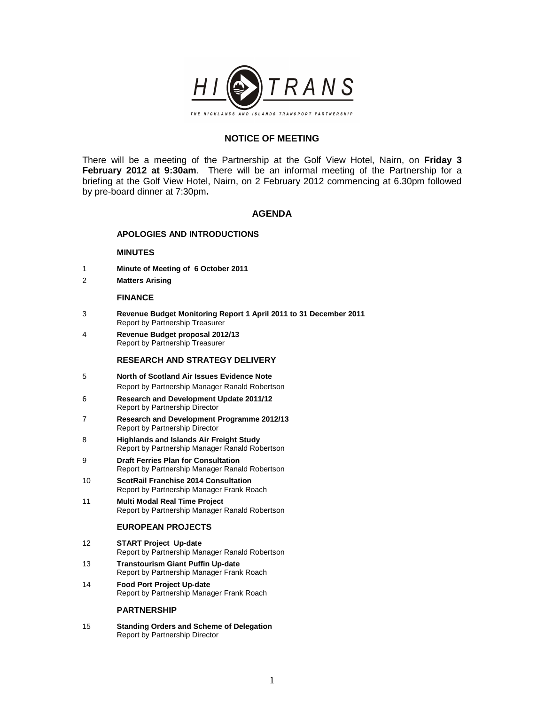

# **NOTICE OF MEETING**

There will be a meeting of the Partnership at the Golf View Hotel, Nairn, on **Friday 3 February 2012 at 9:30am**. There will be an informal meeting of the Partnership for a briefing at the Golf View Hotel, Nairn, on 2 February 2012 commencing at 6.30pm followed by pre-board dinner at 7:30pm**.** 

## **AGENDA**

### **APOLOGIES AND INTRODUCTIONS**

### **MINUTES**

- 1 **Minute of Meeting of 6 October 2011**
- 2 **Matters Arising**

#### **FINANCE**

- 3 **Revenue Budget Monitoring Report 1 April 2011 to 31 December 2011**  Report by Partnership Treasurer
- 4 **Revenue Budget proposal 2012/13** Report by Partnership Treasurer

#### **RESEARCH AND STRATEGY DELIVERY**

- 5 **North of Scotland Air Issues Evidence Note**  Report by Partnership Manager Ranald Robertson
- 6 **Research and Development Update 2011/12**  Report by Partnership Director
- 7 **Research and Development Programme 2012/13**  Report by Partnership Director
- 8 **Highlands and Islands Air Freight Study**  Report by Partnership Manager Ranald Robertson
- 9 **Draft Ferries Plan for Consultation** Report by Partnership Manager Ranald Robertson
- 10 **ScotRail Franchise 2014 Consultation**  Report by Partnership Manager Frank Roach
- 11 **Multi Modal Real Time Project** Report by Partnership Manager Ranald Robertson

### **EUROPEAN PROJECTS**

- 12 **START Project Up-date**  Report by Partnership Manager Ranald Robertson
- 13 **Transtourism Giant Puffin Up-date** Report by Partnership Manager Frank Roach
- 14 **Food Port Project Up-date**  Report by Partnership Manager Frank Roach

### **PARTNERSHIP**

15 **Standing Orders and Scheme of Delegation** Report by Partnership Director